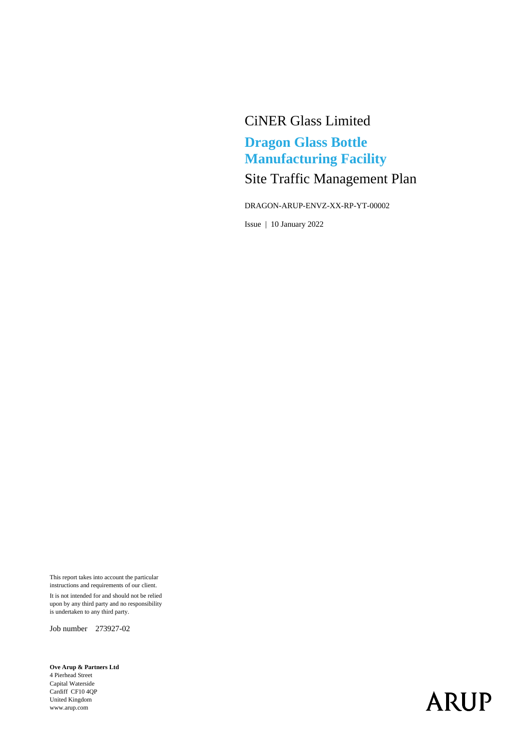## CiNER Glass Limited **Dragon Glass Bottle Manufacturing Facility** Site Traffic Management Plan

DRAGON-ARUP-ENVZ-XX-RP-YT-00002

Issue | 10 January 2022

This report takes into account the particular instructions and requirements of our client. It is not intended for and should not be relied upon by any third party and no responsibility is undertaken to any third party.

Job number 273927-02

**Ove Arup & Partners Ltd** 4 Pierhead Street Capital Waterside Cardiff CF10 4QP United Kingdom www.arup.com

# **ARUP**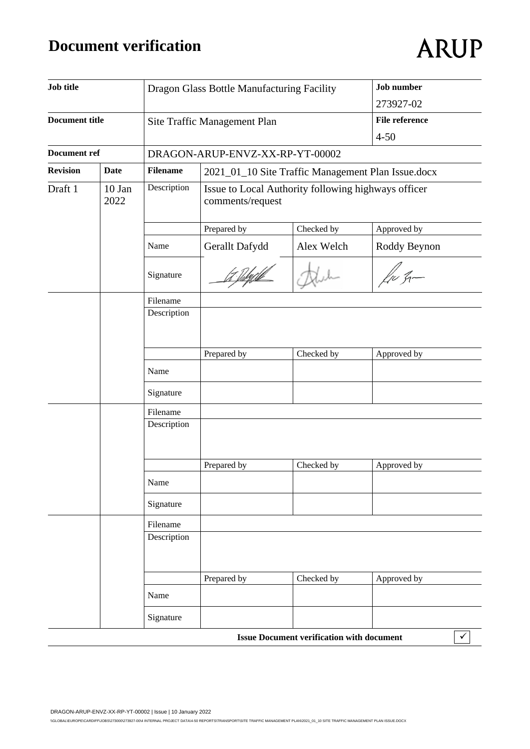## **Document verification**

# **ARUP**

| <b>Job title</b>                             |             |                 | Dragon Glass Bottle Manufacturing Facility                              |                                                  | <b>Job</b> number     |  |
|----------------------------------------------|-------------|-----------------|-------------------------------------------------------------------------|--------------------------------------------------|-----------------------|--|
|                                              |             |                 |                                                                         |                                                  | 273927-02             |  |
| <b>Document title</b><br><b>Document ref</b> |             |                 | Site Traffic Management Plan                                            |                                                  | <b>File reference</b> |  |
|                                              |             |                 |                                                                         |                                                  | $4 - 50$              |  |
|                                              |             |                 | DRAGON-ARUP-ENVZ-XX-RP-YT-00002                                         |                                                  |                       |  |
| <b>Revision</b>                              | <b>Date</b> | <b>Filename</b> | 2021_01_10 Site Traffic Management Plan Issue.docx                      |                                                  |                       |  |
| Draft 1<br>10 Jan<br>2022                    |             | Description     | Issue to Local Authority following highways officer<br>comments/request |                                                  |                       |  |
|                                              |             |                 | Prepared by                                                             | Checked by                                       | Approved by           |  |
|                                              |             | Name            | Gerallt Dafydd                                                          | Alex Welch                                       | Roddy Beynon          |  |
|                                              |             | Signature       |                                                                         |                                                  | $\ell_{\nu}$ q-       |  |
|                                              |             | Filename        |                                                                         |                                                  |                       |  |
|                                              |             | Description     |                                                                         |                                                  |                       |  |
|                                              |             |                 |                                                                         |                                                  |                       |  |
|                                              |             |                 | Prepared by                                                             | Checked by                                       | Approved by           |  |
|                                              |             | Name            |                                                                         |                                                  |                       |  |
|                                              |             | Signature       |                                                                         |                                                  |                       |  |
|                                              |             | Filename        |                                                                         |                                                  |                       |  |
|                                              |             | Description     |                                                                         |                                                  |                       |  |
|                                              |             |                 |                                                                         |                                                  |                       |  |
|                                              |             | Name            | Prepared by                                                             | Checked by                                       | Approved by           |  |
|                                              |             | Signature       |                                                                         |                                                  |                       |  |
|                                              |             | Filename        |                                                                         |                                                  |                       |  |
|                                              |             | Description     |                                                                         |                                                  |                       |  |
|                                              |             |                 | Prepared by                                                             | Checked by                                       | Approved by           |  |
|                                              |             | Name            |                                                                         |                                                  |                       |  |
|                                              |             | Signature       |                                                                         |                                                  |                       |  |
|                                              |             |                 |                                                                         | <b>Issue Document verification with document</b> | $\checkmark$          |  |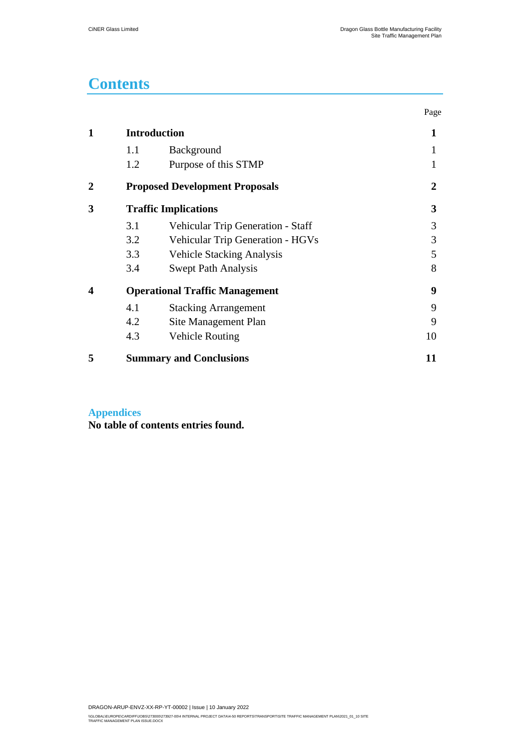## **Contents**

|                |                                       |                                         | Page |  |
|----------------|---------------------------------------|-----------------------------------------|------|--|
| 1              |                                       | <b>Introduction</b>                     |      |  |
|                | 1.1                                   | Background                              |      |  |
|                | 1.2                                   | Purpose of this STMP                    |      |  |
| $\overline{2}$ |                                       | <b>Proposed Development Proposals</b>   | 2    |  |
| 3              |                                       | <b>Traffic Implications</b>             | 3    |  |
|                | 3.1                                   | Vehicular Trip Generation - Staff       | 3    |  |
|                | 3.2                                   | <b>Vehicular Trip Generation - HGVs</b> | 3    |  |
|                | 3.3                                   | <b>Vehicle Stacking Analysis</b>        | 5    |  |
|                | 3.4                                   | <b>Swept Path Analysis</b>              | 8    |  |
| 4              | <b>Operational Traffic Management</b> |                                         | 9    |  |
|                | 4.1                                   | <b>Stacking Arrangement</b>             | 9    |  |
|                | 4.2                                   | Site Management Plan                    | 9    |  |
|                | 4.3                                   | <b>Vehicle Routing</b>                  | 10   |  |
| 5              |                                       | <b>Summary and Conclusions</b>          | 11   |  |

#### **Appendices**

**No table of contents entries found.**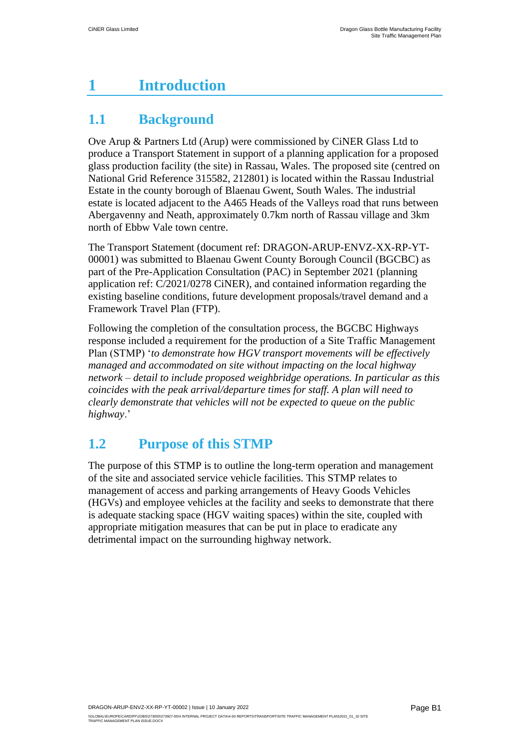## <span id="page-3-0"></span>**1 Introduction**

### <span id="page-3-1"></span>**1.1 Background**

Ove Arup & Partners Ltd (Arup) were commissioned by CiNER Glass Ltd to produce a Transport Statement in support of a planning application for a proposed glass production facility (the site) in Rassau, Wales. The proposed site (centred on National Grid Reference 315582, 212801) is located within the Rassau Industrial Estate in the county borough of Blaenau Gwent, South Wales. The industrial estate is located adjacent to the A465 Heads of the Valleys road that runs between Abergavenny and Neath, approximately 0.7km north of Rassau village and 3km north of Ebbw Vale town centre.

The Transport Statement (document ref: DRAGON-ARUP-ENVZ-XX-RP-YT-00001) was submitted to Blaenau Gwent County Borough Council (BGCBC) as part of the Pre-Application Consultation (PAC) in September 2021 (planning application ref: C/2021/0278 CiNER), and contained information regarding the existing baseline conditions, future development proposals/travel demand and a Framework Travel Plan (FTP).

Following the completion of the consultation process, the BGCBC Highways response included a requirement for the production of a Site Traffic Management Plan (STMP) '*to demonstrate how HGV transport movements will be effectively managed and accommodated on site without impacting on the local highway network – detail to include proposed weighbridge operations. In particular as this coincides with the peak arrival/departure times for staff. A plan will need to clearly demonstrate that vehicles will not be expected to queue on the public highway*.'

#### <span id="page-3-2"></span>**1.2 Purpose of this STMP**

The purpose of this STMP is to outline the long-term operation and management of the site and associated service vehicle facilities. This STMP relates to management of access and parking arrangements of Heavy Goods Vehicles (HGVs) and employee vehicles at the facility and seeks to demonstrate that there is adequate stacking space (HGV waiting spaces) within the site, coupled with appropriate mitigation measures that can be put in place to eradicate any detrimental impact on the surrounding highway network.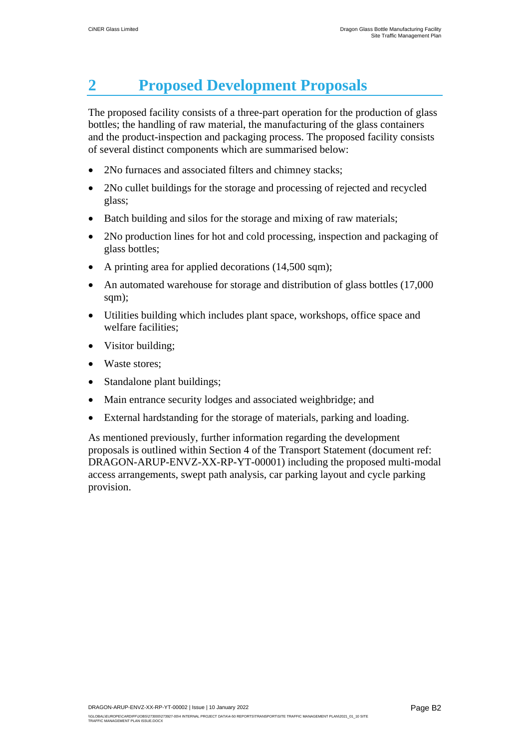## <span id="page-4-0"></span>**2 Proposed Development Proposals**

The proposed facility consists of a three-part operation for the production of glass bottles; the handling of raw material, the manufacturing of the glass containers and the product-inspection and packaging process. The proposed facility consists of several distinct components which are summarised below:

- 2No furnaces and associated filters and chimney stacks;
- 2No cullet buildings for the storage and processing of rejected and recycled glass;
- Batch building and silos for the storage and mixing of raw materials;
- 2No production lines for hot and cold processing, inspection and packaging of glass bottles;
- A printing area for applied decorations (14,500 sqm);
- An automated warehouse for storage and distribution of glass bottles (17,000) sqm);
- Utilities building which includes plant space, workshops, office space and welfare facilities;
- Visitor building;
- Waste stores:
- Standalone plant buildings;
- Main entrance security lodges and associated weighbridge; and
- External hardstanding for the storage of materials, parking and loading.

As mentioned previously, further information regarding the development proposals is outlined within Section 4 of the Transport Statement (document ref: DRAGON-ARUP-ENVZ-XX-RP-YT-00001) including the proposed multi-modal access arrangements, swept path analysis, car parking layout and cycle parking provision.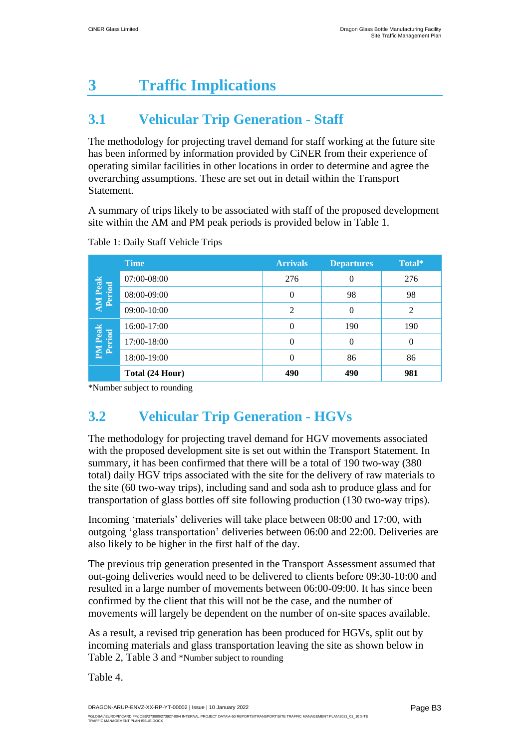# <span id="page-5-0"></span>**3 Traffic Implications**

### <span id="page-5-1"></span>**3.1 Vehicular Trip Generation - Staff**

The methodology for projecting travel demand for staff working at the future site has been informed by information provided by CiNER from their experience of operating similar facilities in other locations in order to determine and agree the overarching assumptions. These are set out in detail within the Transport Statement.

A summary of trips likely to be associated with staff of the proposed development site within the AM and PM peak periods is provided below in [Table 1.](#page-5-3)

|                          | <b>Time</b>     | <b>Arrivals</b> | <b>Departures</b> | Total*         |
|--------------------------|-----------------|-----------------|-------------------|----------------|
| <b>AM</b> Peak<br>Period | 07:00-08:00     | 276             | $\Omega$          | 276            |
|                          | 08:00-09:00     | $\Omega$        | 98                | 98             |
|                          | $09:00 - 10:00$ | 2               | $\Omega$          | $\overline{c}$ |
| <b>PM</b> Peak<br>Period | 16:00-17:00     | $\overline{0}$  | 190               | 190            |
|                          | 17:00-18:00     | $\theta$        | $\theta$          | 0              |
|                          | 18:00-19:00     | $\Omega$        | 86                | 86             |
|                          | Total (24 Hour) | 490             | 490               | 981            |

<span id="page-5-3"></span>Table 1: Daily Staff Vehicle Trips

\*Number subject to rounding

## <span id="page-5-2"></span>**3.2 Vehicular Trip Generation - HGVs**

The methodology for projecting travel demand for HGV movements associated with the proposed development site is set out within the Transport Statement. In summary, it has been confirmed that there will be a total of 190 two-way (380 total) daily HGV trips associated with the site for the delivery of raw materials to the site (60 two-way trips), including sand and soda ash to produce glass and for transportation of glass bottles off site following production (130 two-way trips).

Incoming 'materials' deliveries will take place between 08:00 and 17:00, with outgoing 'glass transportation' deliveries between 06:00 and 22:00. Deliveries are also likely to be higher in the first half of the day.

The previous trip generation presented in the Transport Assessment assumed that out-going deliveries would need to be delivered to clients before 09:30-10:00 and resulted in a large number of movements between 06:00-09:00. It has since been confirmed by the client that this will not be the case, and the number of movements will largely be dependent on the number of on-site spaces available.

As a result, a revised trip generation has been produced for HGVs, split out by incoming materials and glass transportation leaving the site as shown below in [Table 2,](#page-6-0) [Table 3](#page-6-1) and [\\*Number subject to rounding](#page-6-2)

[Table 4.](#page-6-2)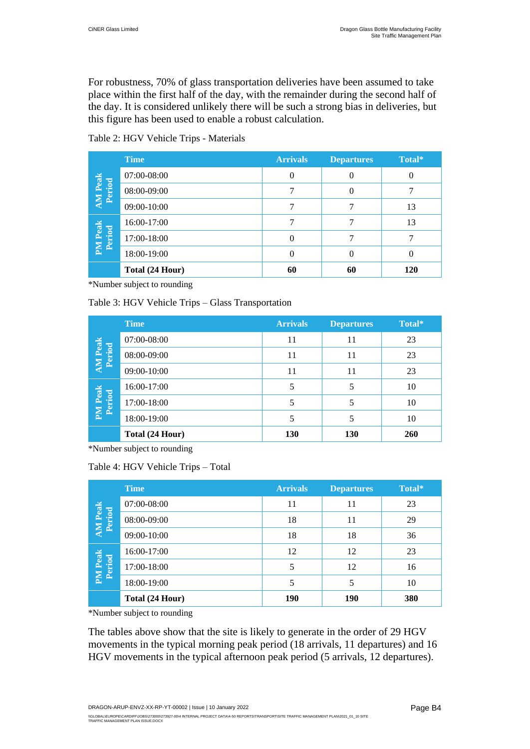For robustness, 70% of glass transportation deliveries have been assumed to take place within the first half of the day, with the remainder during the second half of the day. It is considered unlikely there will be such a strong bias in deliveries, but this figure has been used to enable a robust calculation.

<span id="page-6-0"></span>Table 2: HGV Vehicle Trips - Materials

|                          | <b>Time</b>     | <b>Arrivals</b> | <b>Departures</b> | Total* |
|--------------------------|-----------------|-----------------|-------------------|--------|
| <b>AM</b> Peak<br>Period | 07:00-08:00     | 0               | 0                 |        |
|                          | 08:00-09:00     |                 |                   |        |
|                          | 09:00-10:00     |                 |                   | 13     |
| <b>PM Peak</b><br>Period | 16:00-17:00     |                 |                   | 13     |
|                          | 17:00-18:00     |                 |                   |        |
|                          | 18:00-19:00     |                 |                   |        |
|                          | Total (24 Hour) | 60              | 60                | 120    |

\*Number subject to rounding

<span id="page-6-1"></span>Table 3: HGV Vehicle Trips – Glass Transportation

|                          | <b>Time</b>     | <b>Arrivals</b> | <b>Departures</b> | Total* |
|--------------------------|-----------------|-----------------|-------------------|--------|
| <b>AM</b> Peak<br>Period | 07:00-08:00     | 11              | 11                | 23     |
|                          | 08:00-09:00     | 11              | 11                | 23     |
|                          | 09:00-10:00     | 11              | 11                | 23     |
| <b>PM</b> Peak<br>Period | 16:00-17:00     |                 |                   | 10     |
|                          | 17:00-18:00     | 5               | 5                 | 10     |
|                          | 18:00-19:00     |                 | 5                 | 10     |
|                          | Total (24 Hour) | 130             | 130               | 260    |

<span id="page-6-2"></span>\*Number subject to rounding

|                          | <b>Time</b>     | <b>Arrivals</b> | <b>Departures</b> | Total* |
|--------------------------|-----------------|-----------------|-------------------|--------|
| <b>AM</b> Peak<br>Period | 07:00-08:00     | 11              | 11                | 23     |
|                          | 08:00-09:00     | 18              | 11                | 29     |
|                          | 09:00-10:00     | 18              | 18                | 36     |
| <b>PM</b> Peak<br>Period | 16:00-17:00     | 12              | 12                | 23     |
|                          | 17:00-18:00     | 5               | 12                | 16     |
|                          | 18:00-19:00     |                 | 5                 | 10     |
|                          | Total (24 Hour) | <b>190</b>      | <b>190</b>        | 380    |

\*Number subject to rounding

The tables above show that the site is likely to generate in the order of 29 HGV movements in the typical morning peak period (18 arrivals, 11 departures) and 16 HGV movements in the typical afternoon peak period (5 arrivals, 12 departures).

DRAGON-ARUP-ENVZ-XX-RP-YT-00002 | Issue | 10 January 2022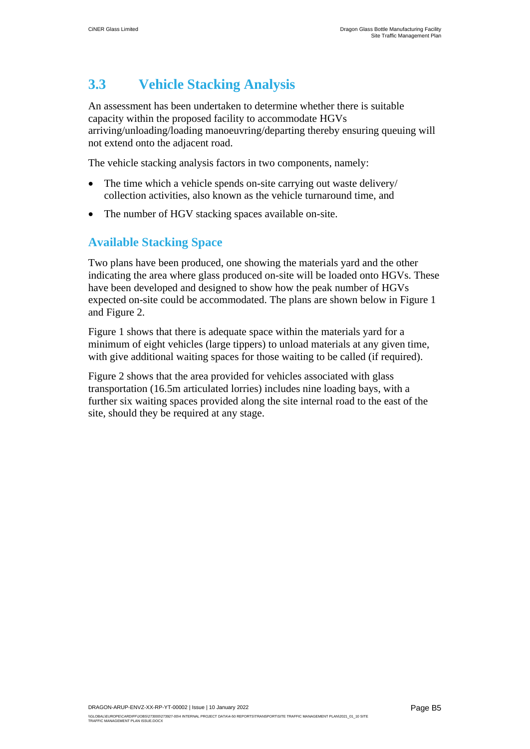#### <span id="page-7-0"></span>**3.3 Vehicle Stacking Analysis**

An assessment has been undertaken to determine whether there is suitable capacity within the proposed facility to accommodate HGVs arriving/unloading/loading manoeuvring/departing thereby ensuring queuing will not extend onto the adjacent road.

The vehicle stacking analysis factors in two components, namely:

- The time which a vehicle spends on-site carrying out waste delivery/ collection activities, also known as the vehicle turnaround time, and
- The number of HGV stacking spaces available on-site.

#### **Available Stacking Space**

Two plans have been produced, one showing the materials yard and the other indicating the area where glass produced on-site will be loaded onto HGVs. These have been developed and designed to show how the peak number of HGVs expected on-site could be accommodated. The plans are shown below in Figure 1 and Figure 2.

Figure 1 shows that there is adequate space within the materials yard for a minimum of eight vehicles (large tippers) to unload materials at any given time, with give additional waiting spaces for those waiting to be called (if required).

Figure 2 shows that the area provided for vehicles associated with glass transportation (16.5m articulated lorries) includes nine loading bays, with a further six waiting spaces provided along the site internal road to the east of the site, should they be required at any stage.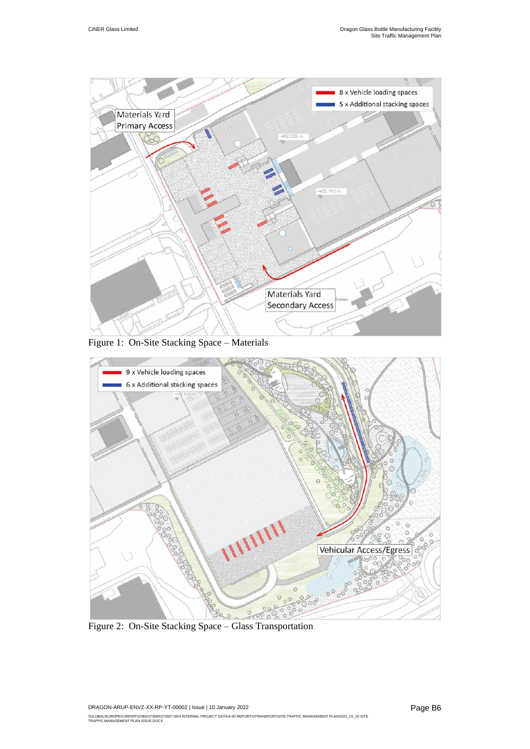

Figure 1: On-Site Stacking Space – Materials



Figure 2: On-Site Stacking Space – Glass Transportation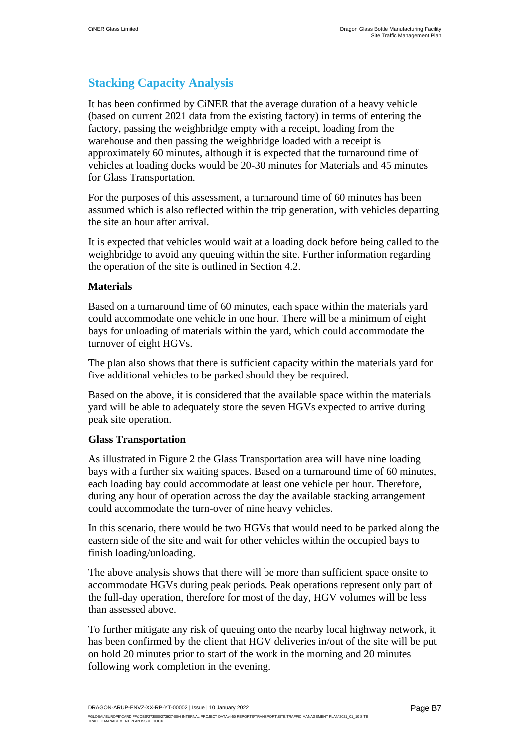#### **Stacking Capacity Analysis**

It has been confirmed by CiNER that the average duration of a heavy vehicle (based on current 2021 data from the existing factory) in terms of entering the factory, passing the weighbridge empty with a receipt, loading from the warehouse and then passing the weighbridge loaded with a receipt is approximately 60 minutes, although it is expected that the turnaround time of vehicles at loading docks would be 20-30 minutes for Materials and 45 minutes for Glass Transportation.

For the purposes of this assessment, a turnaround time of 60 minutes has been assumed which is also reflected within the trip generation, with vehicles departing the site an hour after arrival.

It is expected that vehicles would wait at a loading dock before being called to the weighbridge to avoid any queuing within the site. Further information regarding the operation of the site is outlined in Section [4.2.](#page-11-2)

#### **Materials**

Based on a turnaround time of 60 minutes, each space within the materials yard could accommodate one vehicle in one hour. There will be a minimum of eight bays for unloading of materials within the yard, which could accommodate the turnover of eight HGVs.

The plan also shows that there is sufficient capacity within the materials yard for five additional vehicles to be parked should they be required.

Based on the above, it is considered that the available space within the materials yard will be able to adequately store the seven HGVs expected to arrive during peak site operation.

#### **Glass Transportation**

As illustrated in Figure 2 the Glass Transportation area will have nine loading bays with a further six waiting spaces. Based on a turnaround time of 60 minutes, each loading bay could accommodate at least one vehicle per hour. Therefore, during any hour of operation across the day the available stacking arrangement could accommodate the turn-over of nine heavy vehicles.

In this scenario, there would be two HGVs that would need to be parked along the eastern side of the site and wait for other vehicles within the occupied bays to finish loading/unloading.

The above analysis shows that there will be more than sufficient space onsite to accommodate HGVs during peak periods. Peak operations represent only part of the full-day operation, therefore for most of the day, HGV volumes will be less than assessed above.

To further mitigate any risk of queuing onto the nearby local highway network, it has been confirmed by the client that HGV deliveries in/out of the site will be put on hold 20 minutes prior to start of the work in the morning and 20 minutes following work completion in the evening.

DRAGON-ARUP-ENVZ-XX-RP-YT-00002 | Issue | 10 January 2022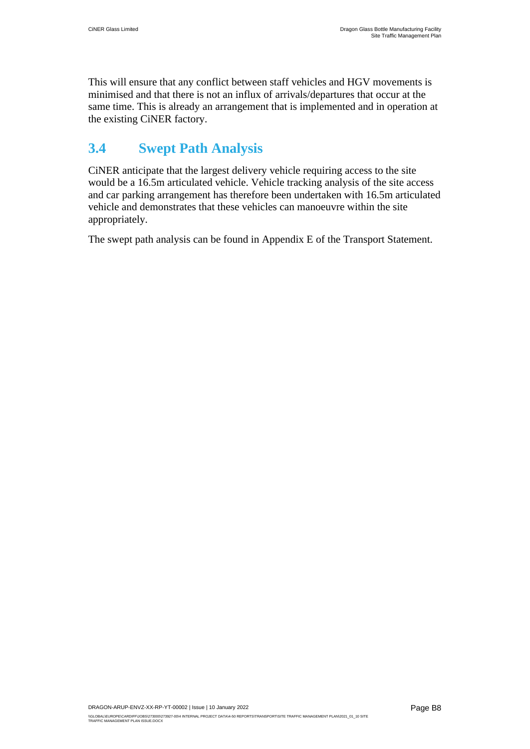This will ensure that any conflict between staff vehicles and HGV movements is minimised and that there is not an influx of arrivals/departures that occur at the same time. This is already an arrangement that is implemented and in operation at the existing CiNER factory.

#### <span id="page-10-0"></span>**3.4 Swept Path Analysis**

CiNER anticipate that the largest delivery vehicle requiring access to the site would be a 16.5m articulated vehicle. Vehicle tracking analysis of the site access and car parking arrangement has therefore been undertaken with 16.5m articulated vehicle and demonstrates that these vehicles can manoeuvre within the site appropriately.

The swept path analysis can be found in Appendix E of the Transport Statement.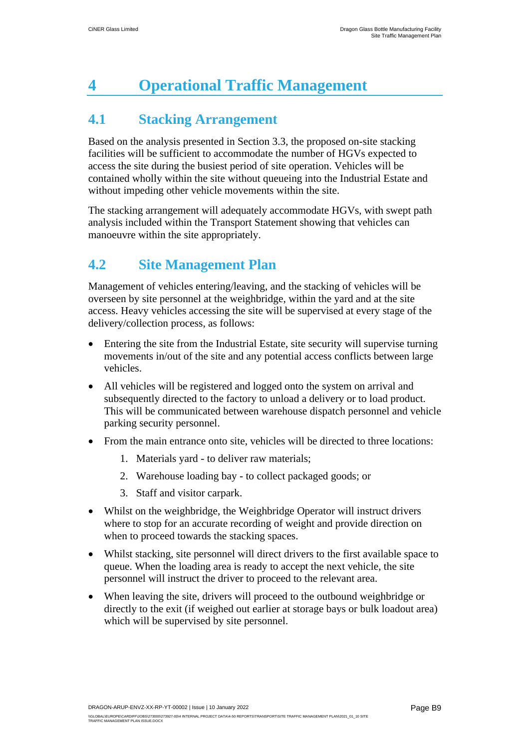# <span id="page-11-0"></span>**4 Operational Traffic Management**

### <span id="page-11-1"></span>**4.1 Stacking Arrangement**

Based on the analysis presented in Section [3.3,](#page-7-0) the proposed on-site stacking facilities will be sufficient to accommodate the number of HGVs expected to access the site during the busiest period of site operation. Vehicles will be contained wholly within the site without queueing into the Industrial Estate and without impeding other vehicle movements within the site.

The stacking arrangement will adequately accommodate HGVs, with swept path analysis included within the Transport Statement showing that vehicles can manoeuvre within the site appropriately.

#### <span id="page-11-2"></span>**4.2 Site Management Plan**

Management of vehicles entering/leaving, and the stacking of vehicles will be overseen by site personnel at the weighbridge, within the yard and at the site access. Heavy vehicles accessing the site will be supervised at every stage of the delivery/collection process, as follows:

- Entering the site from the Industrial Estate, site security will supervise turning movements in/out of the site and any potential access conflicts between large vehicles.
- All vehicles will be registered and logged onto the system on arrival and subsequently directed to the factory to unload a delivery or to load product. This will be communicated between warehouse dispatch personnel and vehicle parking security personnel.
- From the main entrance onto site, vehicles will be directed to three locations:
	- 1. Materials yard to deliver raw materials;
	- 2. Warehouse loading bay to collect packaged goods; or
	- 3. Staff and visitor carpark.
- Whilst on the weighbridge, the Weighbridge Operator will instruct drivers where to stop for an accurate recording of weight and provide direction on when to proceed towards the stacking spaces.
- Whilst stacking, site personnel will direct drivers to the first available space to queue. When the loading area is ready to accept the next vehicle, the site personnel will instruct the driver to proceed to the relevant area.
- When leaving the site, drivers will proceed to the outbound weighbridge or directly to the exit (if weighed out earlier at storage bays or bulk loadout area) which will be supervised by site personnel.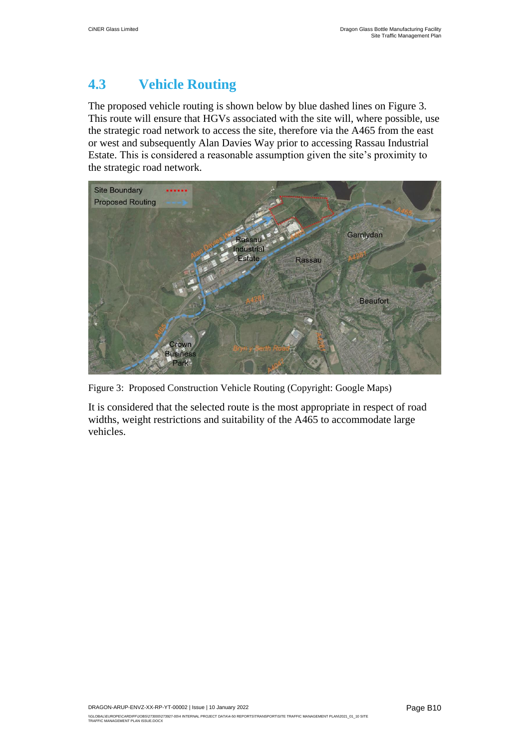### <span id="page-12-0"></span>**4.3 Vehicle Routing**

The proposed vehicle routing is shown below by blue dashed lines on [Figure 3.](#page-12-1) This route will ensure that HGVs associated with the site will, where possible, use the strategic road network to access the site, therefore via the A465 from the east or west and subsequently Alan Davies Way prior to accessing Rassau Industrial Estate. This is considered a reasonable assumption given the site's proximity to the strategic road network.



<span id="page-12-1"></span>Figure 3: Proposed Construction Vehicle Routing (Copyright: Google Maps)

It is considered that the selected route is the most appropriate in respect of road widths, weight restrictions and suitability of the A465 to accommodate large vehicles.